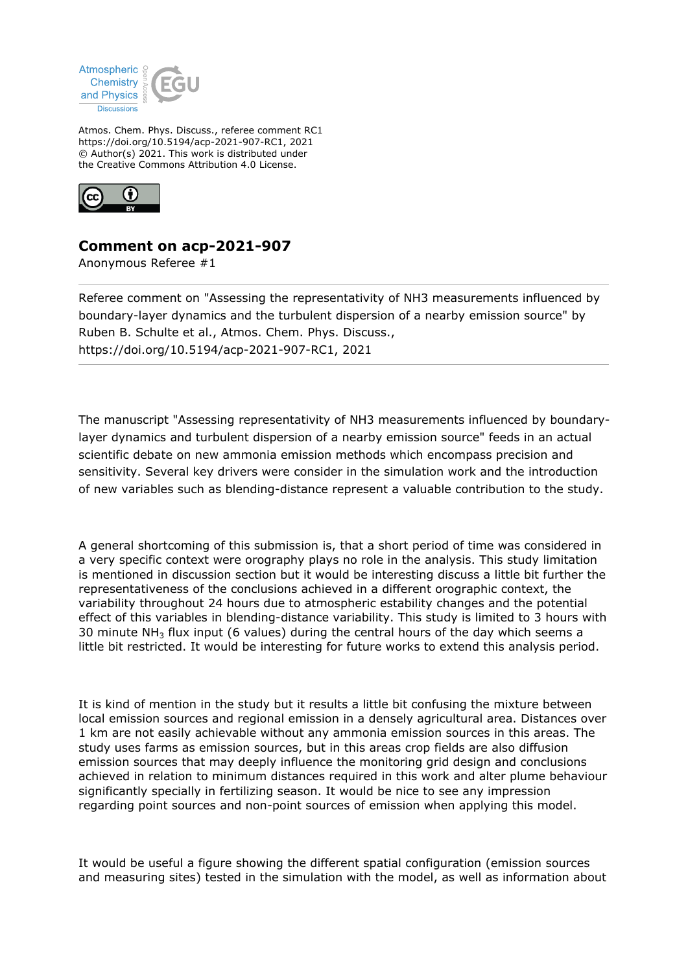

Atmos. Chem. Phys. Discuss., referee comment RC1 https://doi.org/10.5194/acp-2021-907-RC1, 2021 © Author(s) 2021. This work is distributed under the Creative Commons Attribution 4.0 License.



## **Comment on acp-2021-907**

Anonymous Referee #1

Referee comment on "Assessing the representativity of NH3 measurements influenced by boundary-layer dynamics and the turbulent dispersion of a nearby emission source" by Ruben B. Schulte et al., Atmos. Chem. Phys. Discuss., https://doi.org/10.5194/acp-2021-907-RC1, 2021

The manuscript "Assessing representativity of NH3 measurements influenced by boundarylayer dynamics and turbulent dispersion of a nearby emission source" feeds in an actual scientific debate on new ammonia emission methods which encompass precision and sensitivity. Several key drivers were consider in the simulation work and the introduction of new variables such as blending-distance represent a valuable contribution to the study.

A general shortcoming of this submission is, that a short period of time was considered in a very specific context were orography plays no role in the analysis. This study limitation is mentioned in discussion section but it would be interesting discuss a little bit further the representativeness of the conclusions achieved in a different orographic context, the variability throughout 24 hours due to atmospheric estability changes and the potential effect of this variables in blending-distance variability. This study is limited to 3 hours with 30 minute  $NH<sub>3</sub>$  flux input (6 values) during the central hours of the day which seems a little bit restricted. It would be interesting for future works to extend this analysis period.

It is kind of mention in the study but it results a little bit confusing the mixture between local emission sources and regional emission in a densely agricultural area. Distances over 1 km are not easily achievable without any ammonia emission sources in this areas. The study uses farms as emission sources, but in this areas crop fields are also diffusion emission sources that may deeply influence the monitoring grid design and conclusions achieved in relation to minimum distances required in this work and alter plume behaviour significantly specially in fertilizing season. It would be nice to see any impression regarding point sources and non-point sources of emission when applying this model.

It would be useful a figure showing the different spatial configuration (emission sources and measuring sites) tested in the simulation with the model, as well as information about